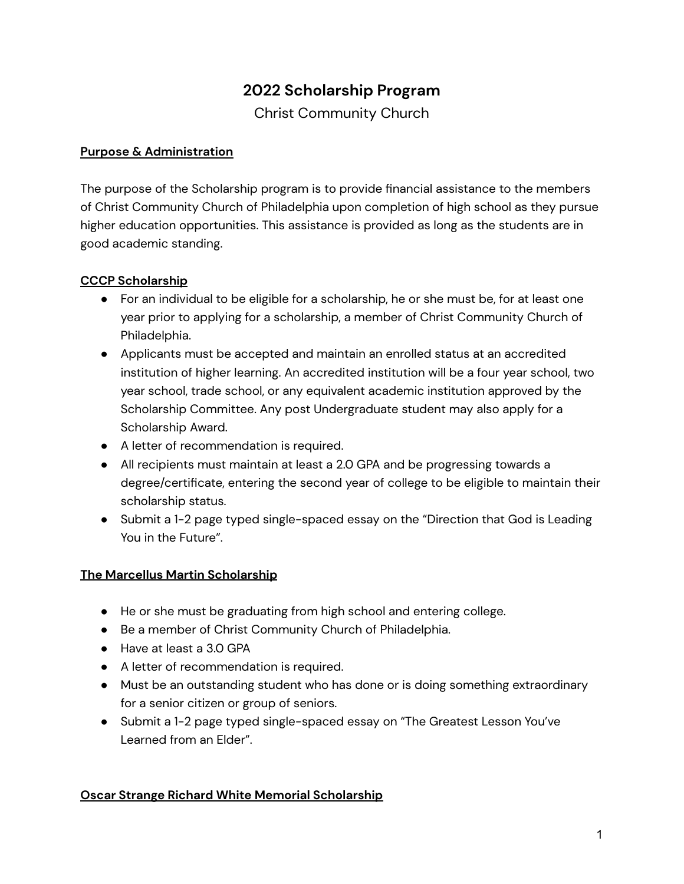# **2022 Scholarship Program**

Christ Community Church

# **Purpose & Administration**

The purpose of the Scholarship program is to provide financial assistance to the members of Christ Community Church of Philadelphia upon completion of high school as they pursue higher education opportunities. This assistance is provided as long as the students are in good academic standing.

# **CCCP Scholarship**

- For an individual to be eligible for a scholarship, he or she must be, for at least one year prior to applying for a scholarship, a member of Christ Community Church of Philadelphia.
- Applicants must be accepted and maintain an enrolled status at an accredited institution of higher learning. An accredited institution will be a four year school, two year school, trade school, or any equivalent academic institution approved by the Scholarship Committee. Any post Undergraduate student may also apply for a Scholarship Award.
- A letter of recommendation is required.
- All recipients must maintain at least a 2.0 GPA and be progressing towards a degree/certificate, entering the second year of college to be eligible to maintain their scholarship status.
- Submit a 1-2 page typed single-spaced essay on the "Direction that God is Leading You in the Future".

### **The Marcellus Martin Scholarship**

- He or she must be graduating from high school and entering college.
- Be a member of Christ Community Church of Philadelphia.
- Have at least a 3.0 GPA
- A letter of recommendation is required.
- Must be an outstanding student who has done or is doing something extraordinary for a senior citizen or group of seniors.
- Submit a 1-2 page typed single-spaced essay on "The Greatest Lesson You've Learned from an Elder".

### **Oscar Strange Richard White Memorial Scholarship**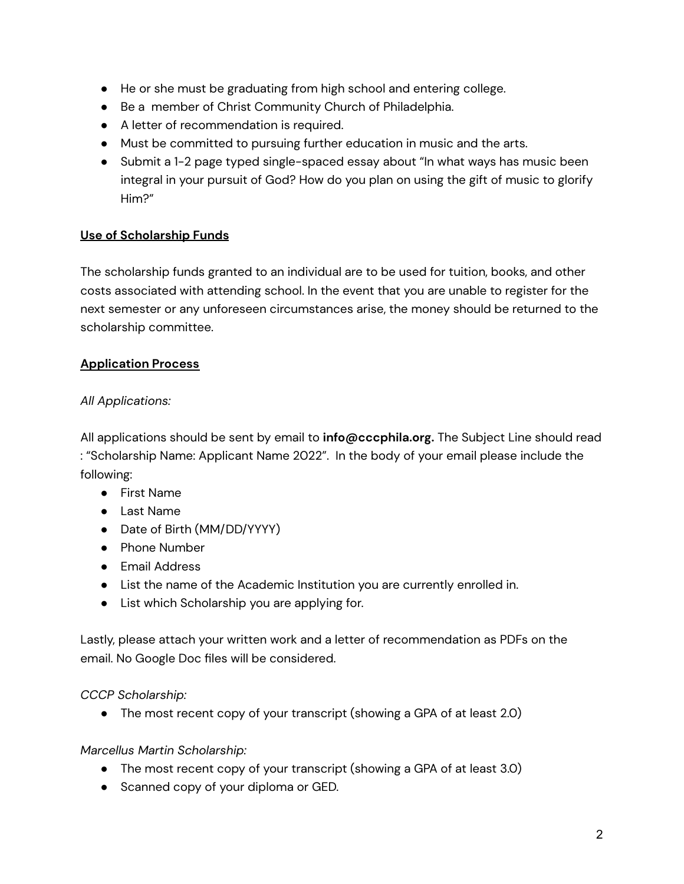- He or she must be graduating from high school and entering college.
- Be a member of Christ Community Church of Philadelphia.
- A letter of recommendation is required.
- Must be committed to pursuing further education in music and the arts.
- Submit a 1-2 page typed single-spaced essay about "In what ways has music been integral in your pursuit of God? How do you plan on using the gift of music to glorify Him?"

# **Use of Scholarship Funds**

The scholarship funds granted to an individual are to be used for tuition, books, and other costs associated with attending school. In the event that you are unable to register for the next semester or any unforeseen circumstances arise, the money should be returned to the scholarship committee.

# **Application Process**

# *All Applications:*

All applications should be sent by email to **info@cccphila.org.** The Subject Line should read : "Scholarship Name: Applicant Name 2022". In the body of your email please include the following:

- First Name
- Last Name
- Date of Birth (MM/DD/YYYY)
- Phone Number
- Email Address
- List the name of the Academic Institution you are currently enrolled in.
- List which Scholarship you are applying for.

Lastly, please attach your written work and a letter of recommendation as PDFs on the email. No Google Doc files will be considered.

*CCCP Scholarship:*

• The most recent copy of your transcript (showing a GPA of at least 2.0)

### *Marcellus Martin Scholarship:*

- The most recent copy of your transcript (showing a GPA of at least 3.0)
- Scanned copy of your diploma or GED.